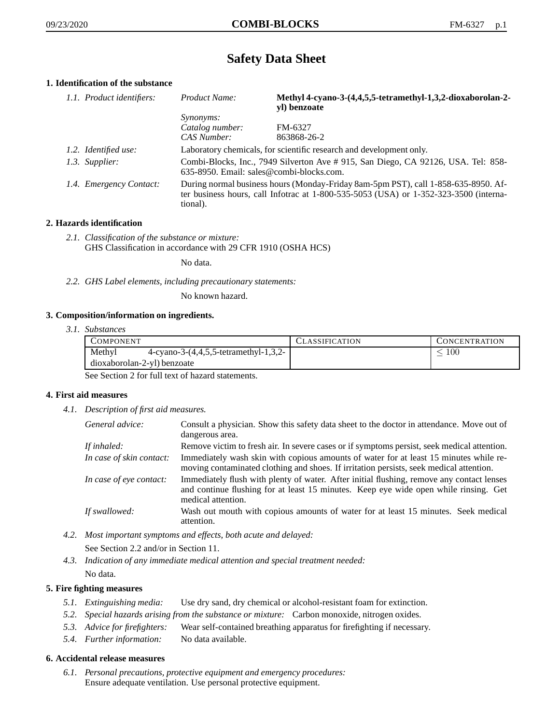# **Safety Data Sheet**

# **1. Identification of the substance**

| 1.1. Product identifiers: | Product Name:                                                                                                                                                                           | Methyl 4-cyano-3-(4,4,5,5-tetramethyl-1,3,2-dioxaborolan-2-<br>yl) benzoate |
|---------------------------|-----------------------------------------------------------------------------------------------------------------------------------------------------------------------------------------|-----------------------------------------------------------------------------|
|                           | <i>Synonyms:</i>                                                                                                                                                                        |                                                                             |
|                           | Catalog number:                                                                                                                                                                         | FM-6327                                                                     |
|                           | CAS Number:                                                                                                                                                                             | 863868-26-2                                                                 |
| 1.2. Identified use:      | Laboratory chemicals, for scientific research and development only.                                                                                                                     |                                                                             |
| 1.3. Supplier:            | Combi-Blocks, Inc., 7949 Silverton Ave #915, San Diego, CA 92126, USA. Tel: 858-<br>635-8950. Email: sales@combi-blocks.com.                                                            |                                                                             |
| 1.4. Emergency Contact:   | During normal business hours (Monday-Friday 8am-5pm PST), call 1-858-635-8950. Af-<br>ter business hours, call Infotrac at 1-800-535-5053 (USA) or 1-352-323-3500 (interna-<br>tional). |                                                                             |

# **2. Hazards identification**

*2.1. Classification of the substance or mixture:* GHS Classification in accordance with 29 CFR 1910 (OSHA HCS)

No data.

*2.2. GHS Label elements, including precautionary statements:*

No known hazard.

# **3. Composition/information on ingredients.**

*3.1. Substances*

| COMPONENT                                           | <b>CLASSIFICATION</b> | CONCENTRATION |
|-----------------------------------------------------|-----------------------|---------------|
| Methyl<br>4-cyano-3- $(4,4,5,5$ -tetramethyl-1,3,2- |                       | 100           |
| dioxaborolan-2-vl) benzoate                         |                       |               |

See Section 2 for full text of hazard statements.

# **4. First aid measures**

*4.1. Description of first aid measures.*

| General advice:          | Consult a physician. Show this safety data sheet to the doctor in attendance. Move out of<br>dangerous area.                                                                                            |
|--------------------------|---------------------------------------------------------------------------------------------------------------------------------------------------------------------------------------------------------|
| If inhaled:              | Remove victim to fresh air. In severe cases or if symptoms persist, seek medical attention.                                                                                                             |
| In case of skin contact: | Immediately wash skin with copious amounts of water for at least 15 minutes while re-<br>moving contaminated clothing and shoes. If irritation persists, seek medical attention.                        |
| In case of eye contact:  | Immediately flush with plenty of water. After initial flushing, remove any contact lenses<br>and continue flushing for at least 15 minutes. Keep eye wide open while rinsing. Get<br>medical attention. |
| If swallowed:            | Wash out mouth with copious amounts of water for at least 15 minutes. Seek medical<br>attention.                                                                                                        |

- *4.2. Most important symptoms and effects, both acute and delayed:* See Section 2.2 and/or in Section 11.
- *4.3. Indication of any immediate medical attention and special treatment needed:* No data.

# **5. Fire fighting measures**

- *5.1. Extinguishing media:* Use dry sand, dry chemical or alcohol-resistant foam for extinction.
- *5.2. Special hazards arising from the substance or mixture:* Carbon monoxide, nitrogen oxides.
- *5.3. Advice for firefighters:* Wear self-contained breathing apparatus for firefighting if necessary.
- *5.4. Further information:* No data available.

# **6. Accidental release measures**

*6.1. Personal precautions, protective equipment and emergency procedures:* Ensure adequate ventilation. Use personal protective equipment.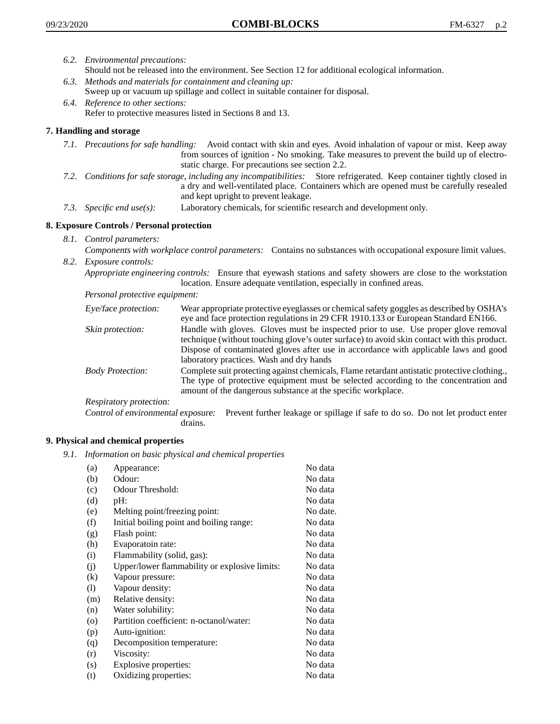- *6.2. Environmental precautions:*
	- Should not be released into the environment. See Section 12 for additional ecological information.
- *6.3. Methods and materials for containment and cleaning up:* Sweep up or vacuum up spillage and collect in suitable container for disposal.
- *6.4. Reference to other sections:* Refer to protective measures listed in Sections 8 and 13.

# **7. Handling and storage**

- *7.1. Precautions for safe handling:* Avoid contact with skin and eyes. Avoid inhalation of vapour or mist. Keep away from sources of ignition - No smoking. Take measures to prevent the build up of electrostatic charge. For precautions see section 2.2.
- *7.2. Conditions for safe storage, including any incompatibilities:* Store refrigerated. Keep container tightly closed in a dry and well-ventilated place. Containers which are opened must be carefully resealed and kept upright to prevent leakage.
- *7.3. Specific end use(s):* Laboratory chemicals, for scientific research and development only.

# **8. Exposure Controls / Personal protection**

*8.1. Control parameters:*

*Components with workplace control parameters:* Contains no substances with occupational exposure limit values. *8.2. Exposure controls:*

*Appropriate engineering controls:* Ensure that eyewash stations and safety showers are close to the workstation location. Ensure adequate ventilation, especially in confined areas.

*Personal protective equipment:*

| Eye/face protection:    | Wear appropriate protective eyeglasses or chemical safety goggles as described by OSHA's<br>eye and face protection regulations in 29 CFR 1910.133 or European Standard EN166.                                                                                                                                         |
|-------------------------|------------------------------------------------------------------------------------------------------------------------------------------------------------------------------------------------------------------------------------------------------------------------------------------------------------------------|
| Skin protection:        | Handle with gloves. Gloves must be inspected prior to use. Use proper glove removal<br>technique (without touching glove's outer surface) to avoid skin contact with this product.<br>Dispose of contaminated gloves after use in accordance with applicable laws and good<br>laboratory practices. Wash and dry hands |
| <b>Body Protection:</b> | Complete suit protecting against chemicals, Flame retardant antistatic protective clothing.,<br>The type of protective equipment must be selected according to the concentration and<br>amount of the dangerous substance at the specific workplace.                                                                   |
| Respiratory protection: |                                                                                                                                                                                                                                                                                                                        |

Control of environmental exposure: Prevent further leakage or spillage if safe to do so. Do not let product enter drains.

# **9. Physical and chemical properties**

*9.1. Information on basic physical and chemical properties*

| (a)      | Appearance:                                   | No data  |
|----------|-----------------------------------------------|----------|
| (b)      | Odour:                                        | No data  |
| (c)      | Odour Threshold:                              | No data  |
| (d)      | pH:                                           | No data  |
| (e)      | Melting point/freezing point:                 | No date. |
| (f)      | Initial boiling point and boiling range:      | No data  |
| (g)      | Flash point:                                  | No data  |
| (h)      | Evaporatoin rate:                             | No data  |
| (i)      | Flammability (solid, gas):                    | No data  |
| (i)      | Upper/lower flammability or explosive limits: | No data  |
| $\rm(k)$ | Vapour pressure:                              | No data  |
| (1)      | Vapour density:                               | No data  |
| (m)      | Relative density:                             | No data  |
| (n)      | Water solubility:                             | No data  |
| $\circ$  | Partition coefficient: n-octanol/water:       | No data  |
| (p)      | Auto-ignition:                                | No data  |
| (q)      | Decomposition temperature:                    | No data  |
| (r)      | Viscosity:                                    | No data  |
| (s)      | Explosive properties:                         | No data  |
| (t)      | Oxidizing properties:                         | No data  |